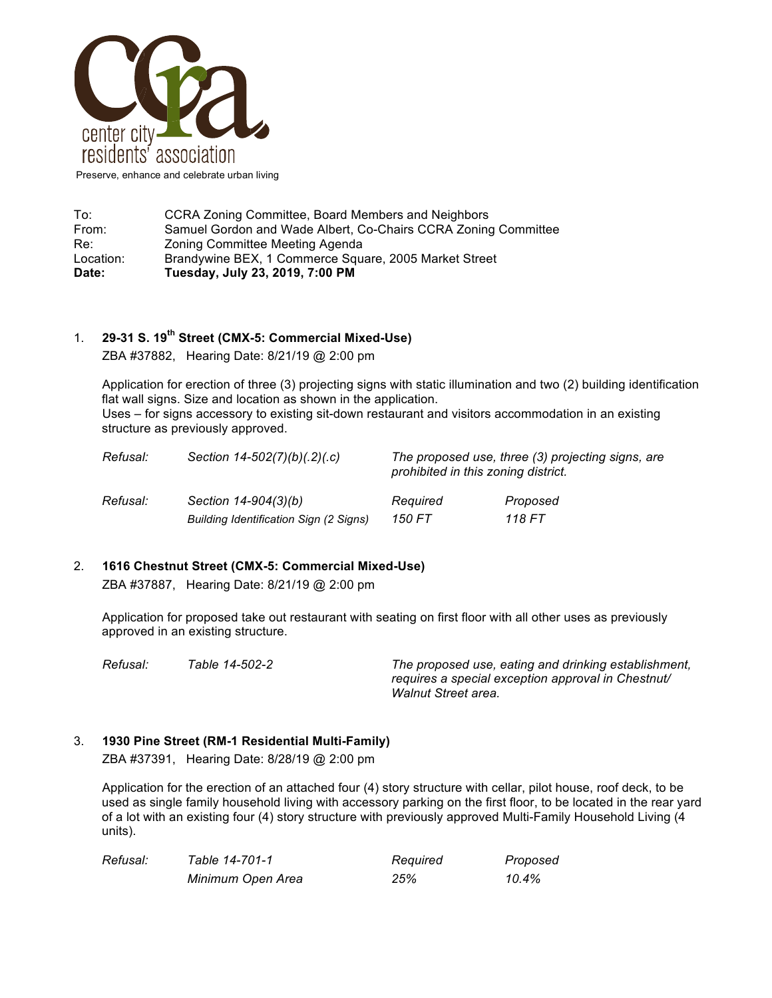

To: CCRA Zoning Committee, Board Members and Neighbors<br>
From: Samuel Gordon and Wade Albert. Co-Chairs CCRA Zoning Samuel Gordon and Wade Albert, Co-Chairs CCRA Zoning Committee Re: Zoning Committee Meeting Agenda Location: Brandywine BEX, 1 Commerce Square, 2005 Market Street **Date: Tuesday, July 23, 2019, 7:00 PM**

## 1. **29-31 S. 19th Street (CMX-5: Commercial Mixed-Use)**

ZBA #37882, Hearing Date: 8/21/19 @ 2:00 pm

Application for erection of three (3) projecting signs with static illumination and two (2) building identification flat wall signs. Size and location as shown in the application. Uses – for signs accessory to existing sit-down restaurant and visitors accommodation in an existing structure as previously approved.

| Refusal: | Section $14 - 502(7)(b)(.2)(.c)$       | prohibited in this zoning district. | The proposed use, three (3) projecting signs, are |
|----------|----------------------------------------|-------------------------------------|---------------------------------------------------|
| Refusal: | Section 14-904(3)(b)                   | Reauired                            | Proposed                                          |
|          | Building Identification Sign (2 Signs) | 150 FT                              | 118 FT                                            |

## 2. **1616 Chestnut Street (CMX-5: Commercial Mixed-Use)**

ZBA #37887, Hearing Date: 8/21/19 @ 2:00 pm

Application for proposed take out restaurant with seating on first floor with all other uses as previously approved in an existing structure.

*Refusal: Table 14-502-2 The proposed use, eating and drinking establishment, requires a special exception approval in Chestnut/ Walnut Street area.*

## 3. **1930 Pine Street (RM-1 Residential Multi-Family)**

ZBA #37391, Hearing Date: 8/28/19 @ 2:00 pm

Application for the erection of an attached four (4) story structure with cellar, pilot house, roof deck, to be used as single family household living with accessory parking on the first floor, to be located in the rear yard of a lot with an existing four (4) story structure with previously approved Multi-Family Household Living (4 units).

| Refusal: | Table 14-701-1    | Required | Proposed |
|----------|-------------------|----------|----------|
|          | Minimum Open Area | 25%      | 10.4%    |